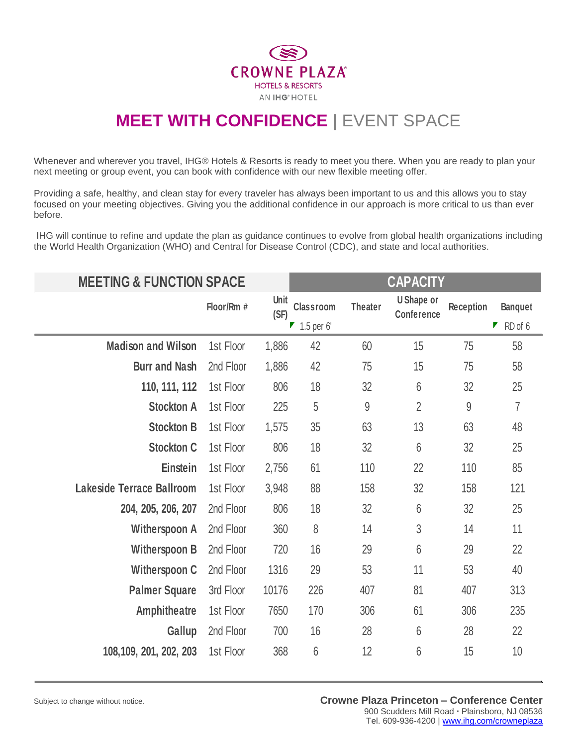

## **MEET WITH CONFIDENCE | EVENT SPACE**

Whenever and wherever you travel, IHG® Hotels & Resorts is ready to meet you there. When you are ready to plan your next meeting or group event, you can book with confidence with our new flexible meeting offer.

Providing a safe, healthy, and clean stay for every traveler has always been important to us and this allows you to stay focused on your meeting objectives. Giving you the additional confidence in our approach is more critical to us than ever before.

IHG will continue to refine and update the plan as guidance continues to evolve from global health organizations including the World Health Organization (WHO) and Central for Disease Control (CDC), and state and local authorities.

| <b>MEETING &amp; FUNCTION SPACE</b> |            |              | <b>CAPACITY</b>           |                |                                        |           |                |
|-------------------------------------|------------|--------------|---------------------------|----------------|----------------------------------------|-----------|----------------|
|                                     | Floor/Rm # | Unit<br>(SF) | <b>Classroom</b>          | <b>Theater</b> | <b>U</b> Shape or<br><b>Conference</b> | Reception | <b>Banquet</b> |
|                                     |            |              | $\blacksquare$ 1.5 per 6' |                |                                        |           | Г<br>RD of 6   |
| <b>Madison and Wilson</b>           | 1st Floor  | 1,886        | 42                        | 60             | 15                                     | 75        | 58             |
| <b>Burr and Nash</b>                | 2nd Floor  | 1,886        | 42                        | 75             | 15                                     | 75        | 58             |
| 110, 111, 112                       | 1st Floor  | 806          | 18                        | 32             | $6\phantom{.}6$                        | 32        | 25             |
| <b>Stockton A</b>                   | 1st Floor  | 225          | 5                         | 9              | $\overline{2}$                         | 9         | $\overline{7}$ |
| <b>Stockton B</b>                   | 1st Floor  | 1,575        | 35                        | 63             | 13                                     | 63        | 48             |
| <b>Stockton C</b>                   | 1st Floor  | 806          | 18                        | 32             | $6\phantom{.}6$                        | 32        | 25             |
| Einstein                            | 1st Floor  | 2,756        | 61                        | 110            | 22                                     | 110       | 85             |
| Lakeside Terrace Ballroom           | 1st Floor  | 3,948        | 88                        | 158            | 32                                     | 158       | 121            |
| 204, 205, 206, 207                  | 2nd Floor  | 806          | 18                        | 32             | $6\phantom{.}6$                        | 32        | 25             |
| <b>Witherspoon A</b>                | 2nd Floor  | 360          | 8                         | 14             | 3                                      | 14        | 11             |
| <b>Witherspoon B</b>                | 2nd Floor  | 720          | 16                        | 29             | 6                                      | 29        | 22             |
| <b>Witherspoon C</b>                | 2nd Floor  | 1316         | 29                        | 53             | 11                                     | 53        | 40             |
| <b>Palmer Square</b>                | 3rd Floor  | 10176        | 226                       | 407            | 81                                     | 407       | 313            |
| <b>Amphitheatre</b>                 | 1st Floor  | 7650         | 170                       | 306            | 61                                     | 306       | 235            |
| Gallup                              | 2nd Floor  | 700          | 16                        | 28             | $6\phantom{.}6$                        | 28        | 22             |
| 108,109, 201, 202, 203              | 1st Floor  | 368          | 6                         | 12             | 6                                      | 15        | 10             |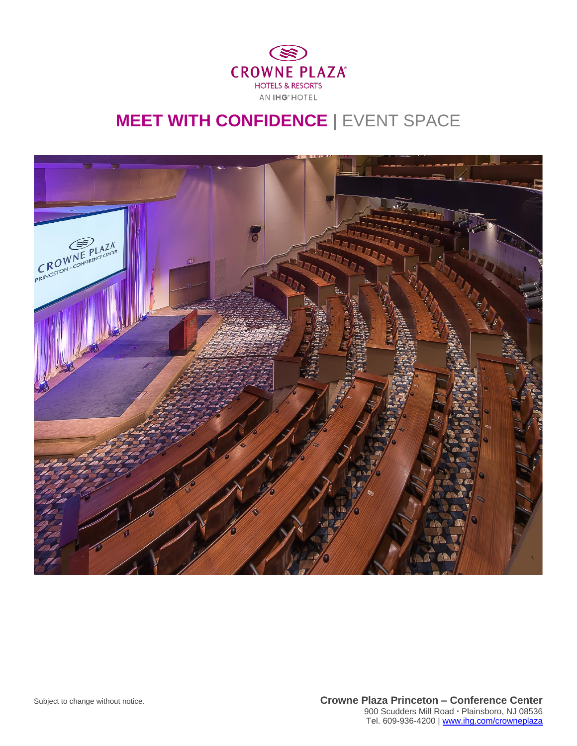

## **MEET WITH CONFIDENCE | EVENT SPACE**



Subject to change without notice. **Crowne Plaza Princeton – Conference Center** 900 Scudders Mill Road Plainsboro, NJ 08536 Tel. 609-936-4200 [| www.ihg.com/crowneplaza](http://www.ihg.com/crowneplaza)